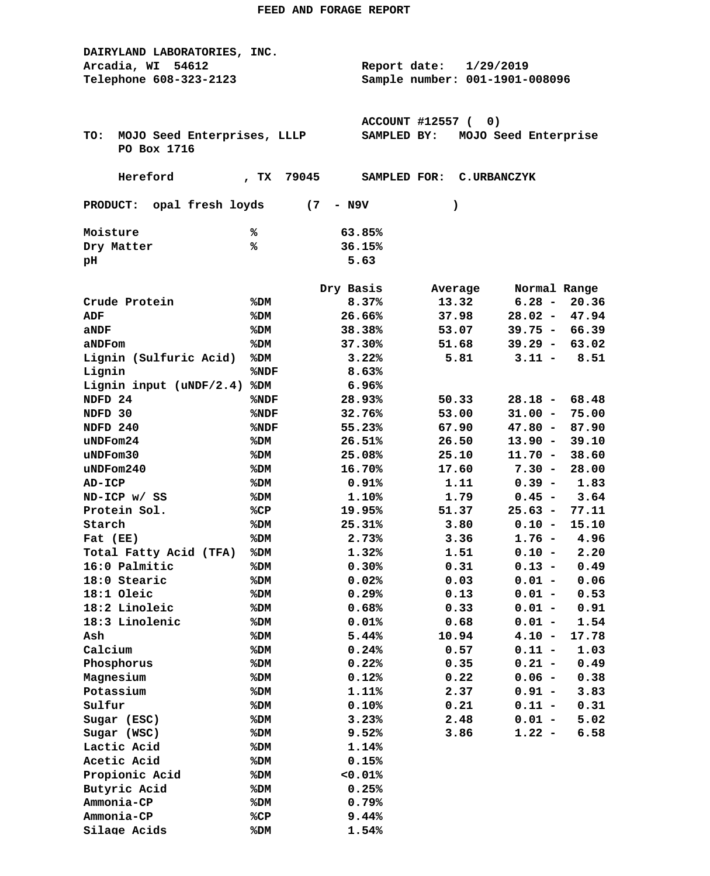| DAIRYLAND LABORATORIES, INC.       |                                |              |                  |           |                    |                      |              |
|------------------------------------|--------------------------------|--------------|------------------|-----------|--------------------|----------------------|--------------|
| Arcadia, WI<br>54612               |                                | Report date: |                  | 1/29/2019 |                    |                      |              |
| Telephone 608-323-2123             | Sample number: 001-1901-008096 |              |                  |           |                    |                      |              |
|                                    |                                |              |                  |           |                    |                      |              |
|                                    |                                |              |                  |           |                    |                      |              |
|                                    |                                |              | ACCOUNT #12557 ( |           | 0)                 |                      |              |
| MOJO Seed Enterprises, LLLP<br>TO: |                                |              | SAMPLED BY:      |           |                    | MOJO Seed Enterprise |              |
| PO Box 1716                        |                                |              |                  |           |                    |                      |              |
|                                    |                                |              |                  |           |                    |                      |              |
| Hereford                           | 79045<br>TX                    |              | SAMPLED FOR:     |           | <b>C.URBANCZYK</b> |                      |              |
|                                    |                                |              |                  |           |                    |                      |              |
| PRODUCT: opal fresh loyds          | (7)                            | - N9V        |                  |           | $\lambda$          |                      |              |
|                                    |                                |              |                  |           |                    |                      |              |
| Moisture                           | ℁                              |              | 63.85%           |           |                    |                      |              |
| Dry Matter                         | ℁                              |              | 36.15%           |           |                    |                      |              |
| pН                                 |                                |              | 5.63             |           |                    |                      |              |
|                                    |                                | Dry Basis    |                  |           |                    |                      | Normal Range |
| Crude Protein                      |                                |              | 8.37%            |           | Average<br>13.32   | $6.28 -$             | 20.36        |
|                                    | %DM                            |              |                  |           |                    |                      |              |
| ADF                                | %DM                            |              | 26.66%           |           | 37.98              | $28.02 -$            | 47.94        |
| aNDF                               | %DM                            |              | 38.38%           |           | 53.07              | $39.75 -$            | 66.39        |
| aNDFom                             | %DM                            |              | 37.30%           |           | 51.68              | $39.29 -$            | 63.02        |
| Lignin (Sulfuric Acid)             | %DM                            |              | 3.22%            |           | 5.81               | $3.11 -$             | 8.51         |
| Lignin                             | %NDF                           |              | 8.63%            |           |                    |                      |              |
| Lignin input $(uNDF/2.4)$          | %DM                            |              | 6.96%            |           |                    |                      |              |
| NDFD 24                            | %NDF                           |              | 28.93%           |           | 50.33              | $28.18 -$            | 68.48        |
| NDFD 30                            | %NDF                           |              | 32.76%           |           | 53.00              | $31.00 -$            | 75.00        |
| NDFD 240                           | %NDF                           |              | 55.23%           |           | 67.90              | $47.80 -$            | 87.90        |
| uNDFom24                           | %DM                            |              | 26.51%           |           | 26.50              | $13.90 -$            | 39.10        |
| uNDFom30                           | %DM                            |              | 25.08%           |           | 25.10              | $11.70 -$            | 38.60        |
| $u$ NDF $om240$                    | %DM                            |              | 16.70%           |           | 17.60              | $7.30 -$             | 28.00        |
| <b>AD-ICP</b>                      | %DM                            |              | 0.91%            |           | 1.11               | $0.39 -$             | 1.83         |
| ND-ICP w/ SS                       | %DM                            |              | 1.10%            |           | 1.79               | $0.45 -$             | 3.64         |
| Protein Sol.                       | %CP                            |              | 19.95%           |           | 51.37              | $25.63 -$            | 77.11        |
| Starch                             | %DM                            |              | 25.31%           |           | 3.80               | $0.10 -$             | 15.10        |
| Fat (EE)                           | %DM                            |              | 2.73%            |           | 3.36               | $1.76 -$             | 4.96         |
| Total Fatty Acid (TFA)             | %DM                            |              | 1.32%            |           | 1.51               | $0.10 -$             | 2.20         |
| 16:0 Palmitic                      | %DM                            |              | 0.30%            |           | 0.31               | $0.13 -$             | 0.49         |
| 18:0 Stearic                       | %DM                            |              | 0.02%            |           | 0.03               | $0.01 -$             | 0.06         |
| 18:1 Oleic                         | %DM                            |              | 0.29%            |           | 0.13               | $0.01 -$             | 0.53         |
| 18:2 Linoleic                      | %DM                            |              | 0.68%            |           | 0.33               | $0.01 -$             | 0.91         |
| 18:3 Linolenic                     | %DM                            |              | 0.01%            |           | 0.68               | $0.01 -$             | 1.54         |
| Ash                                | %DM                            |              | 5.44%            |           | 10.94              | $4.10 -$             | 17.78        |
| Calcium                            | %DM                            |              | 0.24%            |           | 0.57               | $0.11 -$             | 1.03         |
| Phosphorus                         | %DM                            |              | 0.22%            |           | 0.35               | $0.21 -$             | 0.49         |
| Magnesium                          | %DM                            |              | 0.12%            |           | 0.22               | $0.06 -$             | 0.38         |
| Potassium                          | %DM                            |              | 1.11%            |           | 2.37               | $0.91 -$             | 3.83         |
| Sulfur                             | %DM                            |              | 0.10%            |           | 0.21               | $0.11 -$             | 0.31         |
| Sugar (ESC)                        | %DM                            |              | 3.23%            |           | 2.48               | $0.01 -$             | 5.02         |
| Sugar (WSC)                        | %DM                            |              | 9.52%            |           | 3.86               | $1.22 -$             | 6.58         |
| Lactic Acid                        | %DM                            |              | 1.14%            |           |                    |                      |              |
| Acetic Acid                        | %DM                            |              | 0.15%            |           |                    |                      |              |
| Propionic Acid                     | %DM                            |              | 0.01%            |           |                    |                      |              |
| Butyric Acid                       | %DM                            |              | 0.25%            |           |                    |                      |              |
| Ammonia-CP                         | %DM                            |              | 0.79%            |           |                    |                      |              |
| Ammonia-CP                         | %CP                            |              | 9.44%            |           |                    |                      |              |
| Silage Acids                       | %DM                            |              | 1.54%            |           |                    |                      |              |